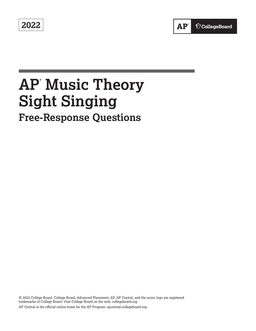**2022** 

# **AP® Music Theory Sight Singing Free-Response Questions**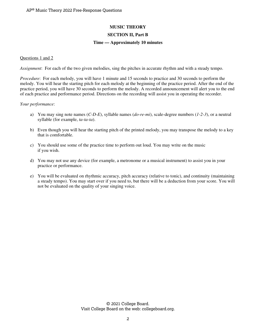## **MUSIC THEORY**

### **SECTION II, Part B**

#### **Time — Approximately 10 minutes**

#### Questions 1 and 2

*Assignment*: For each of the two given melodies, sing the pitches in accurate rhythm and with a steady tempo.

*Procedure*: For each melody, you will have 1 minute and 15 seconds to practice and 30 seconds to perform the melody. You will hear the starting pitch for each melody at the beginning of the practice period. After the end of the practice period, you will have 30 seconds to perform the melody. A recorded announcement will alert you to the end of each practice and performance period. Directions on the recording will assist you in operating the recorder.

#### *Your performance*:

- a) You may sing note names (*C-D-E*), syllable names (*do-re-mi*), scale-degree numbers (*1-2-3*), or a neutral syllable (for example, *ta-ta-ta*).
- b) Even though you will hear the starting pitch of the printed melody, you may transpose the melody to a key that is comfortable.
- c) You should use some of the practice time to perform out loud. You may write on the music if you wish.
- d) You may not use any device (for example, a metronome or a musical instrument) to assist you in your practice or performance.
- e) You will be evaluated on rhythmic accuracy, pitch accuracy (relative to tonic), and continuity (maintaining a steady tempo). You may start over if you need to, but there will be a deduction from your score. You will not be evaluated on the quality of your singing voice.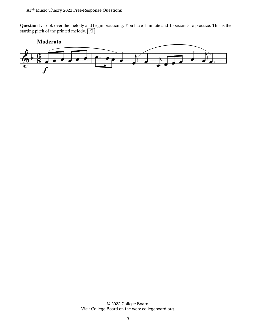**Question 1.** Look over the melody and begin practicing. You have 1 minute and 15 seconds to practice. This is the starting pitch of the printed melody.  $\boxed{f}$ 



© 2022 College Board. Visit College Board on the web: collegeboard.org.